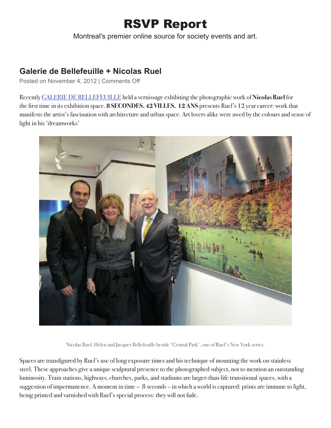## RSVP Report

Montreal's premier online source for society events and art.

## **Galerie de Bellefeuille + Nicolas Ruel**

Posted on November 4, 2012 | Comments Off

Recently GALERIE DE BELLEFEUILLE held a vernissage exhibiting the photographic work of **Nicolas Ruel** for the first time in its exhibition space. **8 SECONDES. 42 VILLES. 12 ANS** presents Ruel's 12 year career: work that manifests the artist's fascination with architecture and urban space. Art lovers alike were awed by the colours and sense of light in his 'dreamworks'



Nicolas Ruel, Helen and Jacques Bellefeuille beside 'Central Park', one of Ruel's New York series.

Spaces are transfigured by Ruel's use of long exposure times and his technique of mounting the work on stainless steel. These approaches give a unique sculptural presence to the photographed subject, not to mention an outstanding luminosity. Train stations, highways, churches, parks, and stadiums are larger-than-life transitional spaces, with a suggestion of impermanence. A moment in time – 8 seconds – in which a world is captured: prints are immune to light, being printed and varnished with Ruel's special process: they will not fade.